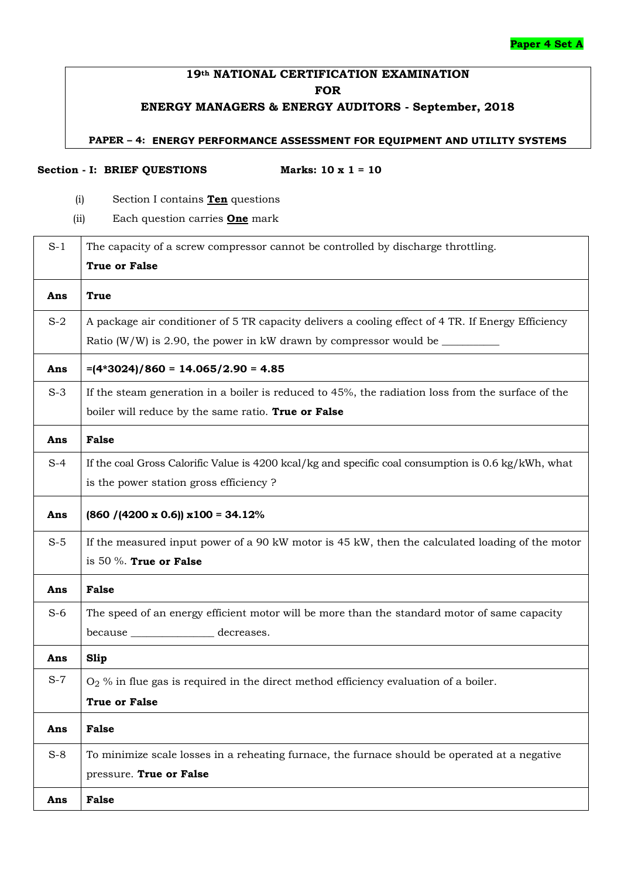#### **Paper 4 Set A**

# **19th NATIONAL CERTIFICATION EXAMINATION FOR**

# **ENERGY MANAGERS & ENERGY AUDITORS - September, 2018**

#### **PAPER – 4: ENERGY PERFORMANCE ASSESSMENT FOR EQUIPMENT AND UTILITY SYSTEMS**

#### **Section - I: BRIEF QUESTIONS Marks: 10 x 1 = 10**

- (i) Section I contains **Ten** questions
- (ii) Each question carries **One** mark

| $S-1$ | The capacity of a screw compressor cannot be controlled by discharge throttling.<br><b>True or False</b> |
|-------|----------------------------------------------------------------------------------------------------------|
| Ans   | True                                                                                                     |
| $S-2$ | A package air conditioner of 5 TR capacity delivers a cooling effect of 4 TR. If Energy Efficiency       |
|       | Ratio (W/W) is 2.90, the power in kW drawn by compressor would be $\_\_$                                 |
| Ans   | $=(4*3024)/860 = 14.065/2.90 = 4.85$                                                                     |
| $S-3$ | If the steam generation in a boiler is reduced to 45%, the radiation loss from the surface of the        |
|       | boiler will reduce by the same ratio. True or False                                                      |
| Ans   | <b>False</b>                                                                                             |
| $S-4$ | If the coal Gross Calorific Value is 4200 kcal/kg and specific coal consumption is 0.6 kg/kWh, what      |
|       | is the power station gross efficiency?                                                                   |
| Ans   | $(860 / (4200 \times 0.6)) \times 100 = 34.12\%$                                                         |
| $S-5$ | If the measured input power of a 90 kW motor is 45 kW, then the calculated loading of the motor          |
|       | is 50 $%$ . True or False                                                                                |
| Ans   | <b>False</b>                                                                                             |
| $S-6$ | The speed of an energy efficient motor will be more than the standard motor of same capacity             |
|       | because __________________ decreases.                                                                    |
| Ans   | <b>Slip</b>                                                                                              |
| $S-7$ | $O2$ % in flue gas is required in the direct method efficiency evaluation of a boiler.                   |
|       | <b>True or False</b>                                                                                     |
| Ans   | <b>False</b>                                                                                             |
| $S-8$ | To minimize scale losses in a reheating furnace, the furnace should be operated at a negative            |
|       | pressure. True or False                                                                                  |
| Ans   | <b>False</b>                                                                                             |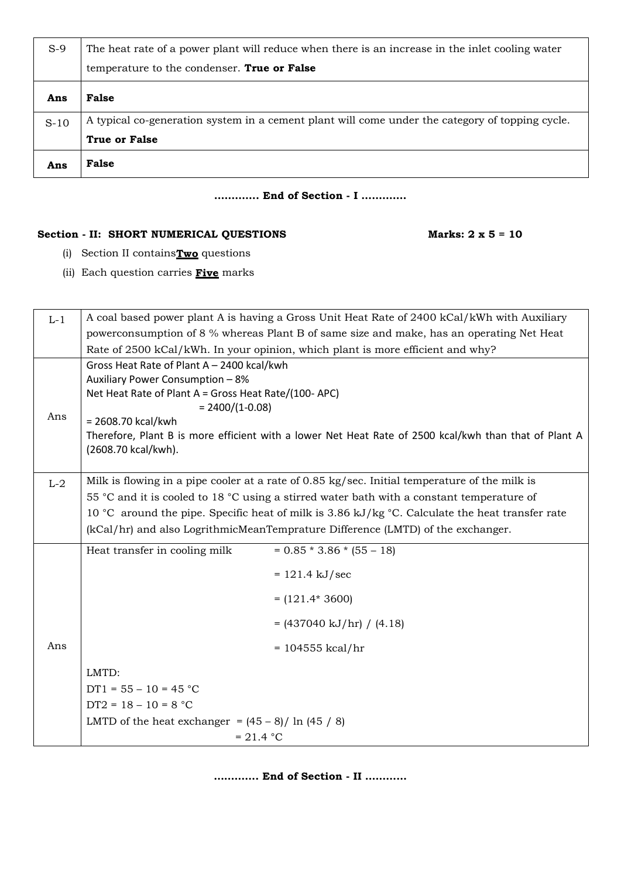| $S-9$  | The heat rate of a power plant will reduce when there is an increase in the inlet cooling water |
|--------|-------------------------------------------------------------------------------------------------|
|        | temperature to the condenser. True or False                                                     |
| Ans    | False                                                                                           |
| $S-10$ | A typical co-generation system in a cement plant will come under the category of topping cycle. |
|        | <b>True or False</b>                                                                            |
| Ans    | False                                                                                           |

#### **…………. End of Section - I ………….**

### Section - **II:** SHORT NUMERICAL QUESTIONS Marks: 2 x 5 = 10

- (i) Section II contains**Two** questions
- (ii) Each question carries **Five** marks

| $L-1$                                          | A coal based power plant A is having a Gross Unit Heat Rate of 2400 kCal/kWh with Auxiliary           |  |  |  |  |  |
|------------------------------------------------|-------------------------------------------------------------------------------------------------------|--|--|--|--|--|
|                                                | powerconsumption of 8 % whereas Plant B of same size and make, has an operating Net Heat              |  |  |  |  |  |
|                                                | Rate of 2500 kCal/kWh. In your opinion, which plant is more efficient and why?                        |  |  |  |  |  |
|                                                | Gross Heat Rate of Plant A - 2400 kcal/kwh                                                            |  |  |  |  |  |
|                                                | Auxiliary Power Consumption - 8%                                                                      |  |  |  |  |  |
|                                                | Net Heat Rate of Plant A = Gross Heat Rate/(100- APC)                                                 |  |  |  |  |  |
| $= 2400/(1-0.08)$<br>Ans<br>= 2608.70 kcal/kwh |                                                                                                       |  |  |  |  |  |
|                                                | Therefore, Plant B is more efficient with a lower Net Heat Rate of 2500 kcal/kwh than that of Plant A |  |  |  |  |  |
|                                                | (2608.70 kcal/kwh).                                                                                   |  |  |  |  |  |
|                                                |                                                                                                       |  |  |  |  |  |
| $L-2$                                          | Milk is flowing in a pipe cooler at a rate of 0.85 kg/sec. Initial temperature of the milk is         |  |  |  |  |  |
|                                                | 55 °C and it is cooled to 18 °C using a stirred water bath with a constant temperature of             |  |  |  |  |  |
|                                                | 10 °C around the pipe. Specific heat of milk is 3.86 kJ/kg °C. Calculate the heat transfer rate       |  |  |  |  |  |
|                                                | (kCal/hr) and also LogrithmicMeanTemprature Difference (LMTD) of the exchanger.                       |  |  |  |  |  |
|                                                | $= 0.85 * 3.86 * (55 - 18)$<br>Heat transfer in cooling milk                                          |  |  |  |  |  |
|                                                | $= 121.4 \text{ kJ/sec}$                                                                              |  |  |  |  |  |
|                                                | $= (121.4*3600)$                                                                                      |  |  |  |  |  |
|                                                | $= (437040 \text{ kJ/hr}) / (4.18)$                                                                   |  |  |  |  |  |
| Ans                                            | $= 104555$ kcal/hr                                                                                    |  |  |  |  |  |
|                                                | LMTD:                                                                                                 |  |  |  |  |  |
|                                                | $DT1 = 55 - 10 = 45 °C$                                                                               |  |  |  |  |  |
|                                                | $DT2 = 18 - 10 = 8 °C$                                                                                |  |  |  |  |  |
|                                                | LMTD of the heat exchanger = $(45 - 8)$ / ln $(45 / 8)$                                               |  |  |  |  |  |
|                                                | $= 21.4 °C$                                                                                           |  |  |  |  |  |

**…………. End of Section - II …………**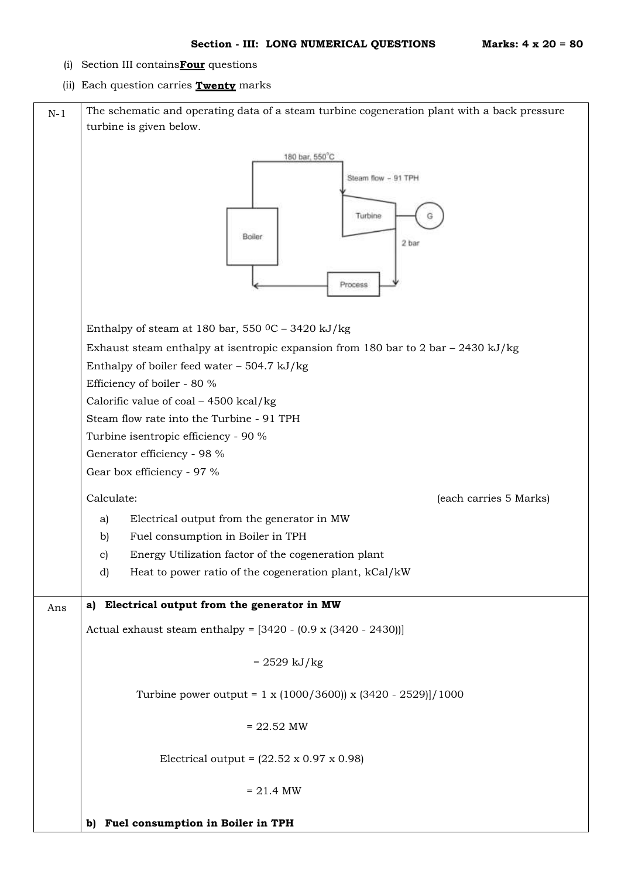- (i) Section III contains**Four** questions
- (ii) Each question carries **Twenty** marks

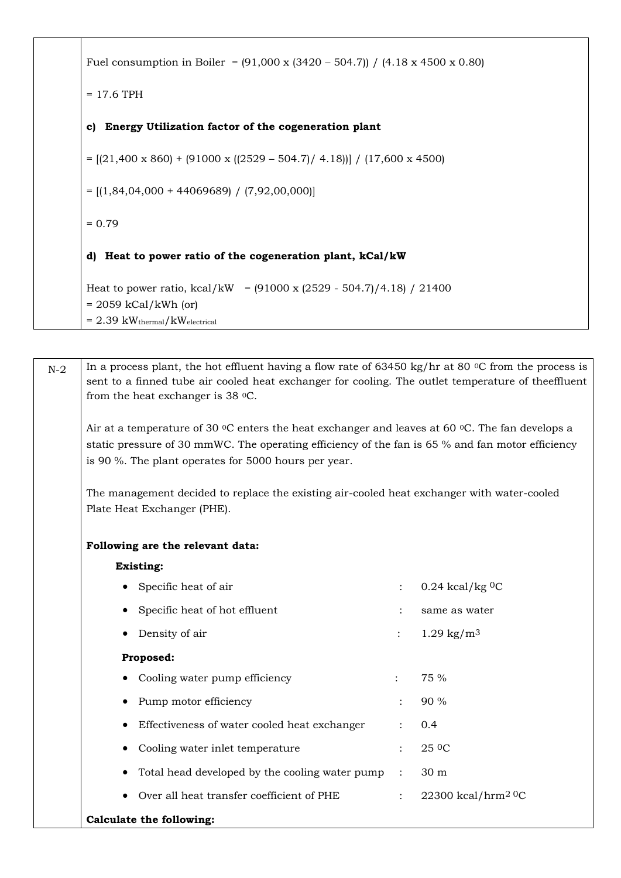```
Fuel consumption in Boiler = (91,000 \times (3420 - 504.7)) / (4.18 \times 4500 \times 0.80)= 17.6 TPH
c) Energy Utilization factor of the cogeneration plant
= [(21,400 \times 860) + (91000 \times ((2529 - 504.7) / 4.18))] / (17,600 \times 4500)= [(1,84,04,000 + 44069689) / (7,92,00,000)]
= 0.79d) Heat to power ratio of the cogeneration plant, kCal/kW
Heat to power ratio, kcal/kW = (91000 \times (2529 - 504.7)/4.18) / 21400= 2059 kCal/kWh (or)
= 2.39 \text{ kW}_{\text{thermal}}/\text{kW}_{\text{electrical}}
```

| $N-2$ | In a process plant, the hot effluent having a flow rate of 63450 kg/hr at 80 $\degree$ C from the process is<br>sent to a finned tube air cooled heat exchanger for cooling. The outlet temperature of the ffluent<br>from the heat exchanger is $38$ °C.                                |                      |                                |  |  |  |
|-------|------------------------------------------------------------------------------------------------------------------------------------------------------------------------------------------------------------------------------------------------------------------------------------------|----------------------|--------------------------------|--|--|--|
|       | Air at a temperature of 30 $\rm{^{\circ}C}$ enters the heat exchanger and leaves at 60 $\rm{^{\circ}C}$ . The fan develops a<br>static pressure of 30 mmWC. The operating efficiency of the fan is 65 % and fan motor efficiency<br>is 90 %. The plant operates for 5000 hours per year. |                      |                                |  |  |  |
|       | The management decided to replace the existing air-cooled heat exchanger with water-cooled<br>Plate Heat Exchanger (PHE).                                                                                                                                                                |                      |                                |  |  |  |
|       | Following are the relevant data:                                                                                                                                                                                                                                                         |                      |                                |  |  |  |
|       | <b>Existing:</b>                                                                                                                                                                                                                                                                         |                      |                                |  |  |  |
|       | Specific heat of air                                                                                                                                                                                                                                                                     | $\ddot{\cdot}$       | $0.24$ kcal/kg <sup>0</sup> C  |  |  |  |
|       | Specific heat of hot effluent                                                                                                                                                                                                                                                            |                      | same as water                  |  |  |  |
|       | Density of air                                                                                                                                                                                                                                                                           |                      | $1.29 \text{ kg/m}^3$          |  |  |  |
|       | Proposed:                                                                                                                                                                                                                                                                                |                      |                                |  |  |  |
|       | Cooling water pump efficiency                                                                                                                                                                                                                                                            |                      | 75 %                           |  |  |  |
|       | Pump motor efficiency                                                                                                                                                                                                                                                                    |                      | 90 %                           |  |  |  |
|       | Effectiveness of water cooled heat exchanger                                                                                                                                                                                                                                             |                      | 0.4                            |  |  |  |
|       | Cooling water inlet temperature                                                                                                                                                                                                                                                          | $\ddot{\phantom{0}}$ | 25 <sup>0</sup> C              |  |  |  |
|       | Total head developed by the cooling water pump                                                                                                                                                                                                                                           | $\ddot{\cdot}$       | 30 m                           |  |  |  |
|       | Over all heat transfer coefficient of PHE                                                                                                                                                                                                                                                | $\ddot{\cdot}$       | 22300 kcal/hrm <sup>20</sup> C |  |  |  |
|       | Calculate the following:                                                                                                                                                                                                                                                                 |                      |                                |  |  |  |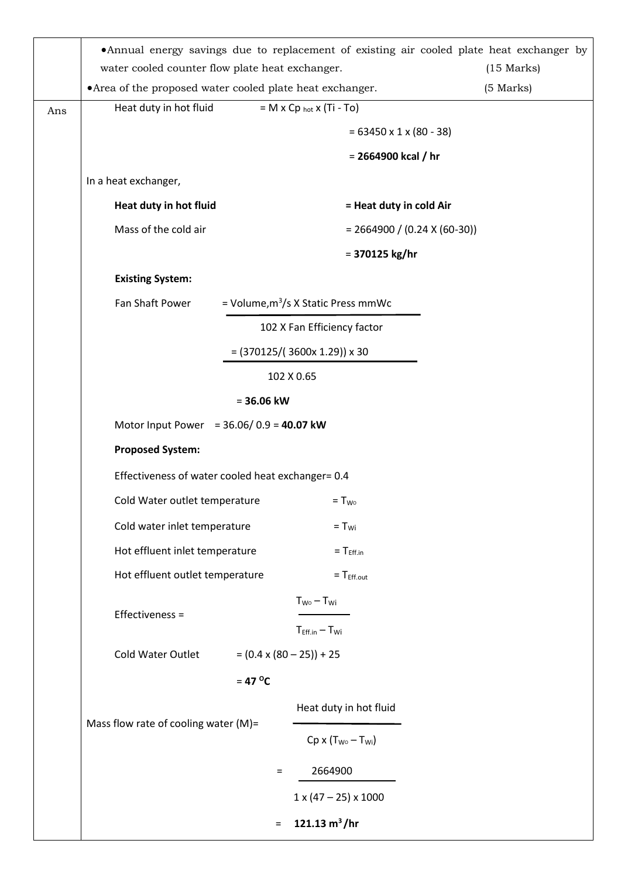|     | • Annual energy savings due to replacement of existing air cooled plate heat exchanger by<br>water cooled counter flow plate heat exchanger. |              |                                             | $(15$ Marks)                   |  |  |
|-----|----------------------------------------------------------------------------------------------------------------------------------------------|--------------|---------------------------------------------|--------------------------------|--|--|
|     | • Area of the proposed water cooled plate heat exchanger.                                                                                    |              |                                             | (5 Marks)                      |  |  |
| Ans | Heat duty in hot fluid                                                                                                                       |              | $= M \times Cp_{hot} \times (Ti - To)$      |                                |  |  |
|     |                                                                                                                                              |              | $= 63450 \times 1 \times (80 - 38)$         |                                |  |  |
|     |                                                                                                                                              |              | $= 2664900$ kcal / hr                       |                                |  |  |
|     | In a heat exchanger,                                                                                                                         |              |                                             |                                |  |  |
|     | Heat duty in hot fluid<br>= Heat duty in cold Air                                                                                            |              |                                             |                                |  |  |
|     | Mass of the cold air                                                                                                                         |              |                                             | $= 2664900 / (0.24 X (60-30))$ |  |  |
|     |                                                                                                                                              |              | $= 370125$ kg/hr                            |                                |  |  |
|     | <b>Existing System:</b>                                                                                                                      |              |                                             |                                |  |  |
|     | Fan Shaft Power                                                                                                                              |              | = Volume, $m^3/s$ X Static Press mmWc       |                                |  |  |
|     |                                                                                                                                              |              | 102 X Fan Efficiency factor                 |                                |  |  |
|     |                                                                                                                                              |              | $= (370125 / (3600 \times 1.29)) \times 30$ |                                |  |  |
|     | 102 X 0.65                                                                                                                                   |              |                                             |                                |  |  |
|     |                                                                                                                                              | $= 36.06$ kW |                                             |                                |  |  |
|     | Motor Input Power = $36.06/0.9 = 40.07$ kW                                                                                                   |              |                                             |                                |  |  |
|     | <b>Proposed System:</b>                                                                                                                      |              |                                             |                                |  |  |
|     | Effectiveness of water cooled heat exchanger= 0.4                                                                                            |              |                                             |                                |  |  |
|     | Cold Water outlet temperature                                                                                                                |              | $= T_{\text{wo}}$                           |                                |  |  |
|     | Cold water inlet temperature                                                                                                                 |              | $= T_{\text{wi}}$                           |                                |  |  |
|     | Hot effluent inlet temperature                                                                                                               |              | $= T_{Eff.in}$                              |                                |  |  |
|     | Hot effluent outlet temperature                                                                                                              |              | $=$ T <sub>Eff.out</sub>                    |                                |  |  |
|     |                                                                                                                                              |              | $T_{W0} - T_{Wi}$                           |                                |  |  |
|     | Effectiveness =                                                                                                                              |              | $T_{Eff.in} - T_{Wi}$                       |                                |  |  |
|     | Cold Water Outlet                                                                                                                            |              | $= (0.4 \times (80 - 25)) + 25$             |                                |  |  |
|     |                                                                                                                                              | $= 47$ °C    |                                             |                                |  |  |
|     |                                                                                                                                              |              | Heat duty in hot fluid                      |                                |  |  |
|     | Mass flow rate of cooling water (M)=                                                                                                         |              | $Cp \times (T_{W0} - T_{Wi})$               |                                |  |  |
|     |                                                                                                                                              | $=$          | 2664900                                     |                                |  |  |
|     |                                                                                                                                              |              | $1 \times (47 - 25) \times 1000$            |                                |  |  |
|     |                                                                                                                                              |              |                                             |                                |  |  |
|     |                                                                                                                                              | $\equiv$     | 121.13 $m^3/hr$                             |                                |  |  |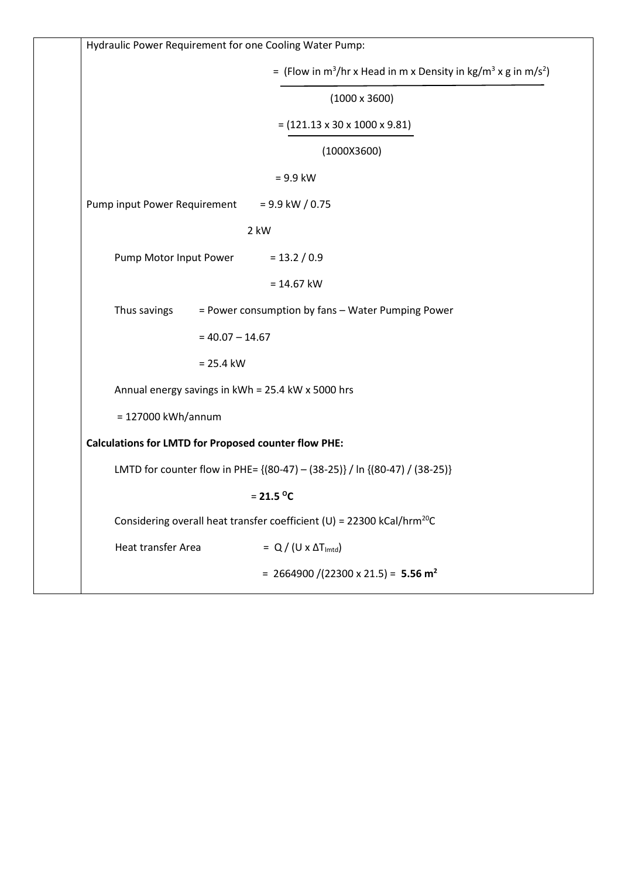| Hydraulic Power Requirement for one Cooling Water Pump:                                            |
|----------------------------------------------------------------------------------------------------|
| = (Flow in m <sup>3</sup> /hr x Head in m x Density in kg/m <sup>3</sup> x g in m/s <sup>2</sup> ) |
| $(1000 \times 3600)$                                                                               |
| $= (121.13 \times 30 \times 1000 \times 9.81)$                                                     |
| (1000X3600)                                                                                        |
| $= 9.9$ kW                                                                                         |
| Pump input Power Requirement<br>$= 9.9$ kW / 0.75                                                  |
| 2 kW                                                                                               |
| Pump Motor Input Power<br>$= 13.2 / 0.9$                                                           |
| $= 14.67$ kW                                                                                       |
| = Power consumption by fans - Water Pumping Power<br>Thus savings                                  |
| $= 40.07 - 14.67$                                                                                  |
| $= 25.4$ kW                                                                                        |
| Annual energy savings in kWh = 25.4 kW x 5000 hrs                                                  |
| = 127000 kWh/annum                                                                                 |
| <b>Calculations for LMTD for Proposed counter flow PHE:</b>                                        |
| LMTD for counter flow in PHE= {(80-47) - (38-25)} / In {(80-47) / (38-25)}                         |
| $= 21.5 °C$                                                                                        |
| Considering overall heat transfer coefficient (U) = 22300 kCal/hrm <sup>20</sup> C                 |
| Heat transfer Area<br>$= Q / (U \times \Delta T_{\text{lmtd}})$                                    |
| = 2664900 /(22300 x 21.5) = 5.56 m <sup>2</sup>                                                    |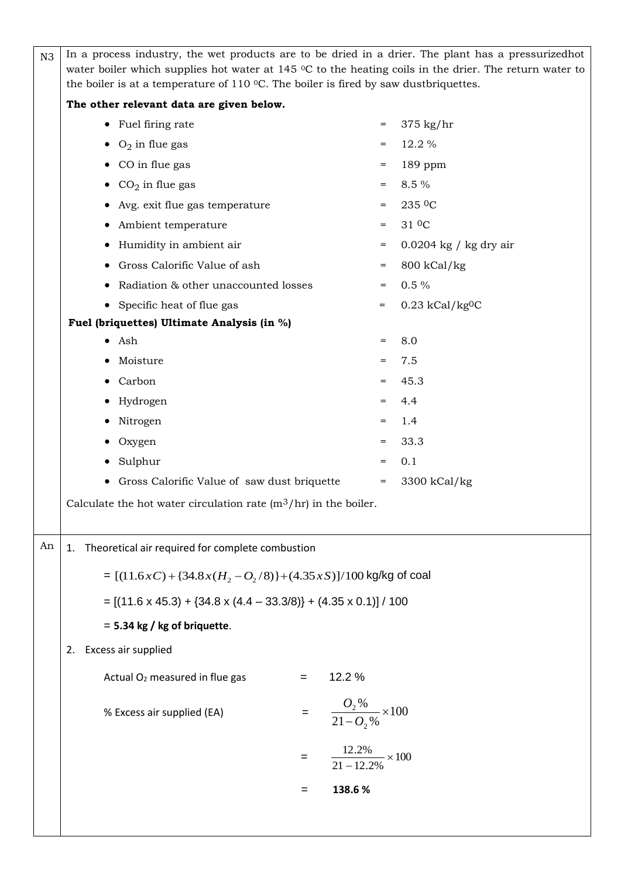| N <sub>3</sub> | In a process industry, the wet products are to be dried in a drier. The plant has a pressurized hot<br>water boiler which supplies hot water at $145 \degree C$ to the heating coils in the drier. The return water to<br>the boiler is at a temperature of $110$ °C. The boiler is fired by saw dustbriquettes. |                                 |                                       |                               |  |  |
|----------------|------------------------------------------------------------------------------------------------------------------------------------------------------------------------------------------------------------------------------------------------------------------------------------------------------------------|---------------------------------|---------------------------------------|-------------------------------|--|--|
|                | The other relevant data are given below.                                                                                                                                                                                                                                                                         |                                 |                                       |                               |  |  |
|                | • Fuel firing rate                                                                                                                                                                                                                                                                                               |                                 | $=$                                   | $375$ kg/hr                   |  |  |
|                | $\bullet$ O <sub>2</sub> in flue gas                                                                                                                                                                                                                                                                             |                                 | $=$                                   | 12.2 %                        |  |  |
|                | CO in flue gas<br>$\bullet$                                                                                                                                                                                                                                                                                      |                                 | $=$                                   | 189 ppm                       |  |  |
|                | $CO2$ in flue gas<br>$\bullet$                                                                                                                                                                                                                                                                                   |                                 | $=$                                   | 8.5 %                         |  |  |
|                | Avg. exit flue gas temperature                                                                                                                                                                                                                                                                                   |                                 | $\qquad \qquad =$                     | 235 OC                        |  |  |
|                | Ambient temperature<br>$\bullet$                                                                                                                                                                                                                                                                                 |                                 | $=$                                   | 31 <sup>0</sup> C             |  |  |
|                | Humidity in ambient air                                                                                                                                                                                                                                                                                          | $0.0204$ kg / kg dry air<br>$=$ |                                       |                               |  |  |
|                | Gross Calorific Value of ash                                                                                                                                                                                                                                                                                     | 800 kCal/kg<br>$=$              |                                       |                               |  |  |
|                | Radiation & other unaccounted losses                                                                                                                                                                                                                                                                             |                                 | $=$                                   | $0.5\%$                       |  |  |
|                | • Specific heat of flue gas                                                                                                                                                                                                                                                                                      |                                 | $=$                                   | $0.23$ kCal/kg <sup>0</sup> C |  |  |
|                | Fuel (briquettes) Ultimate Analysis (in %)                                                                                                                                                                                                                                                                       |                                 |                                       |                               |  |  |
|                | Ash                                                                                                                                                                                                                                                                                                              |                                 | $=$                                   | 8.0                           |  |  |
|                | Moisture                                                                                                                                                                                                                                                                                                         |                                 |                                       | 7.5                           |  |  |
|                | Carbon                                                                                                                                                                                                                                                                                                           |                                 | =                                     | 45.3                          |  |  |
|                | Hydrogen                                                                                                                                                                                                                                                                                                         |                                 | $=$                                   | 4.4                           |  |  |
|                | Nitrogen                                                                                                                                                                                                                                                                                                         |                                 | $=$                                   | 1.4                           |  |  |
|                | Oxygen                                                                                                                                                                                                                                                                                                           |                                 | $=$                                   | 33.3                          |  |  |
|                | Sulphur                                                                                                                                                                                                                                                                                                          |                                 | $=$                                   | 0.1                           |  |  |
|                | Gross Calorific Value of saw dust briquette<br>$\bullet$                                                                                                                                                                                                                                                         |                                 | $=$                                   | 3300 kCal/kg                  |  |  |
|                | Calculate the hot water circulation rate $(m^3/hr)$ in the boiler.                                                                                                                                                                                                                                               |                                 |                                       |                               |  |  |
| An             | Theoretical air required for complete combustion<br>1.                                                                                                                                                                                                                                                           |                                 |                                       |                               |  |  |
|                |                                                                                                                                                                                                                                                                                                                  |                                 |                                       |                               |  |  |
|                | = $[(11.6xC) + {34.8x(H2 - O2/8)} + (4.35xS)]/100$ kg/kg of coal                                                                                                                                                                                                                                                 |                                 |                                       |                               |  |  |
|                | $= [(11.6 \times 45.3) + (34.8 \times (4.4 - 33.3/8)) + (4.35 \times 0.1)] / 100$                                                                                                                                                                                                                                |                                 |                                       |                               |  |  |
|                | $=$ 5.34 kg / kg of briquette.                                                                                                                                                                                                                                                                                   |                                 |                                       |                               |  |  |
|                | Excess air supplied<br>2.                                                                                                                                                                                                                                                                                        |                                 |                                       |                               |  |  |
|                | Actual O <sub>2</sub> measured in flue gas                                                                                                                                                                                                                                                                       | $=$                             | 12.2 %                                |                               |  |  |
|                |                                                                                                                                                                                                                                                                                                                  |                                 |                                       |                               |  |  |
|                | % Excess air supplied (EA)                                                                                                                                                                                                                                                                                       |                                 | $\frac{O_2\%}{21-O_2\%}\times 100$    |                               |  |  |
|                |                                                                                                                                                                                                                                                                                                                  | $=$                             | $\frac{12.2\%}{21-12.2\%} \times 100$ |                               |  |  |
|                |                                                                                                                                                                                                                                                                                                                  |                                 |                                       |                               |  |  |
|                |                                                                                                                                                                                                                                                                                                                  | $=$                             | 138.6%                                |                               |  |  |
|                |                                                                                                                                                                                                                                                                                                                  |                                 |                                       |                               |  |  |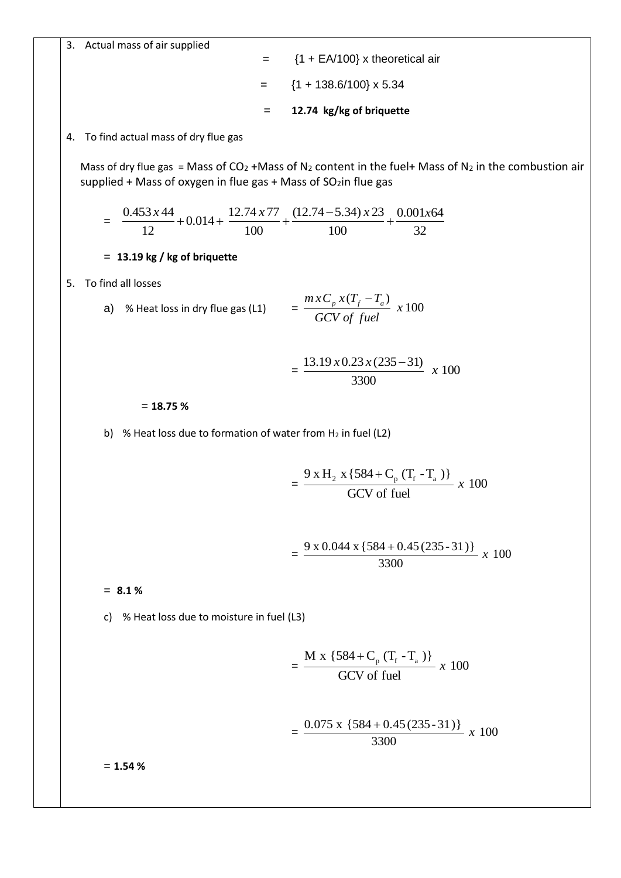3. Actual mass of air supplied  $=$  {1 + EA/100} x theoretical air  $=$  {1 + 138.6/100} x 5.34 = **12.74 kg/kg of briquette** 4. To find actual mass of dry flue gas Mass of dry flue gas = Mass of  $CO_2$  +Mass of N<sub>2</sub> content in the fuel+ Mass of N<sub>2</sub> in the combustion air supplied + Mass of oxygen in flue gas + Mass of  $SO<sub>2</sub>$ in flue gas = 32  $0.001x64$ 100  $(12.74 - 5.34) \times 23$ 100  $0.014 + \frac{12.74 \times 77}{1.08}$ 12  $\frac{0.453 \times 44}{0.014 + 0.014 + \frac{12.74 \times 77}{0.004 + 0.004 + \frac{12.74 \times 77}{0.004 + 0.004 + \frac{12.74 \times 77}{0.004 + 0.004 + \frac{12.74 \times 77}{0.004 + 0.004 + \frac{12.74 \times 77}{0.004 + 0.004 + \frac{12.74 \times 77}{0.004 + 0.004 + \frac{12.74 \times 77}{0.004 + 0.004 + \frac{1$ −  $+0.014 + \frac{12.774444}{100} +$ = **13.19 kg / kg of briquette** 5. To find all losses a) % Heat loss in dry flue gas (L1)  $= \frac{m \pi c_p m (L_f - L_a)}{2 \pi r (L_a - L_a)} x 100$  $(T_f - T_a)$ *x GCV of fuel*  $mxC_p x(T_f - T_a)$  $=\frac{15.15 \times 0.25 \times (255 - 31)}{2200} \times 100$ 3300  $13.19 \times 0.23 \times (235 - 31)$ *x x*  $0.23 x (235 -$ = **18.75 %** b) % Heat loss due to formation of water from  $H_2$  in fuel (L2)  $=\frac{x^{11}+x^{11}+x^{10}+x^{11}+x^{10}+x^{10}+x^{10}+x^{10}+x^{10}+x^{10}+x^{10}+x^{10}+x^{10}+x^{10}+x^{10}+x^{10}+x^{10}+x^{10}+x^{10}+x^{10}+x^{10}+x^{10}+x^{10}+x^{10}+x^{10}+x^{10}+x^{10}+x^{10}+x^{10}+x^{10}+x^{10}+x^{10}+x^{10}+x^{10}+x^{10}+x^{10}+x^{$ GCV of fuel  $\frac{9 \times H_2 \times \{584 + C_p (T_f - T_a)\}}{2 \times 10^{24} \text{ J}}$ +  $= \frac{3.80.044 \times 1.04 + 0.45 (233.31)}{0.000} \times 100$ 3300  $\frac{9 \times 0.044 \times \{584 + 0.45 (235 - 31)\}}{200}$ = **8.1 %** c) % Heat loss due to moisture in fuel (L3)  $=\frac{12.1 \times 10^{-6} \text{ C s} + 100}{20 \text{ N s} + 3.8 \text{ N s}} x 100$ GCV of fuel  $\frac{M x \{584 + C_p (T_f - T_a)\}}{2 G x^2 + 2 G^2}$ +  $= \frac{0.075 \text{ A} \left[ 0.04 + 0.45 (255 - 51) \right]}{0.000} \text{ x } 100$ 3300  $\frac{0.075 \times \{584 + 0.45 (235 - 31)\}}{2000}$ = **1.54 %**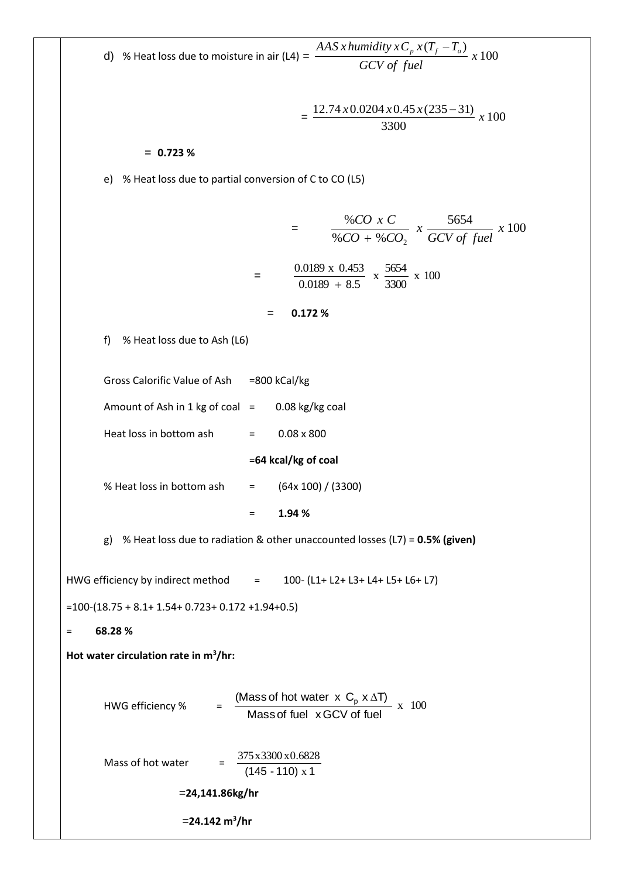d) % Heat loss due to moisture in air (L4) = 100  $(T_f - T_a)$ *x GCV of fuel AAS x humidity*  $xC_p x(T_f - T_a)$  $= \frac{12.7 + x \cdot 0.020 + x \cdot 0.05 \cdot 0.000}{0.000} \times 100$ 3300  $\frac{12.74 \times 0.0204 \times 0.45 \times (235-31)}{0.000}$  *x* = **0.723 %** e) % Heat loss due to partial conversion of C to CO (L5) <sup>=</sup> <sup>100</sup> <sup>5654</sup>  $% CO + %$ % 2 *x GCV of fuel x CO CO CO x C* +  $=$   $\frac{0.0109 \text{ A } 0.755}{0.0100 \text{ A } 0.755}$  x  $\frac{0.007}{0.0000}$  x 100 3300  $\frac{5654}{0000}$  $0.0189 + 8.5$ 0.0189 x 0.453 + = **0.172 %** f) % Heat loss due to Ash (L6) Gross Calorific Value of Ash =800 kCal/kg Amount of Ash in 1 kg of coal  $=$  0.08 kg/kg coal Heat loss in bottom ash  $=$  0.08 x 800 =**64 kcal/kg of coal** % Heat loss in bottom ash  $=$   $(64x 100) / (3300)$ = **1.94 %** g) % Heat loss due to radiation & other unaccounted losses (L7) = **0.5% (given)** HWG efficiency by indirect method  $=$  100- (L1+ L2+ L3+ L4+ L5+ L6+ L7) =100-(18.75 + 8.1+ 1.54+ 0.723+ 0.172 +1.94+0.5) = **68.28 % Hot water circulation rate in m<sup>3</sup> /hr:** HWG efficiency %  $= \frac{2 \times 100}{\text{Mose of fuel} \times 200 \times 100} \times 100$ Massof fuel x GCV of fuel (Mass of hot water  $x \, C_p \, x \, \Delta T$ ) Mass of hot water  $\qquad \frac{5.5333336400332}{(145 - 110) \times 1}$ 375x3300 x0.6828 =**24,141.86kg/hr** =**24.142 m<sup>3</sup> /hr**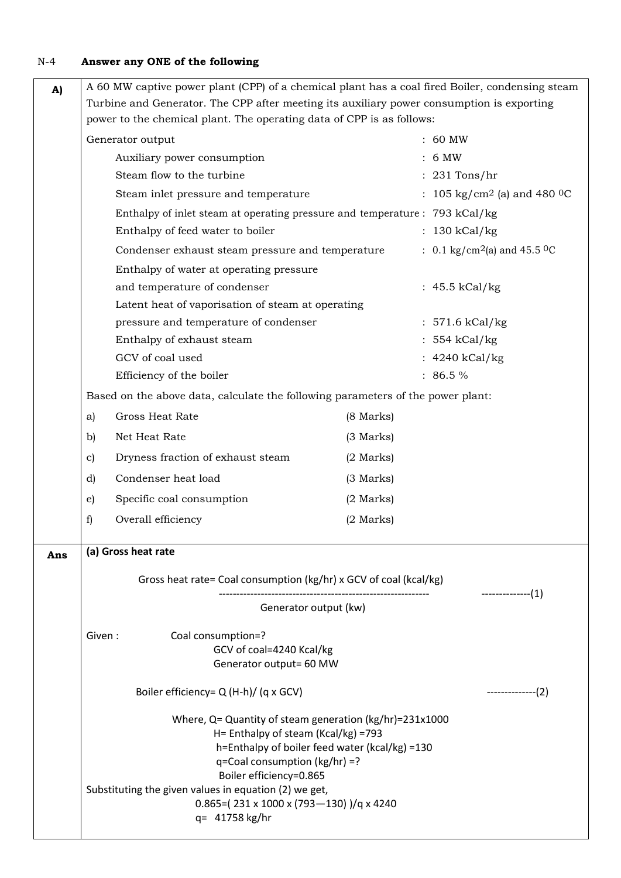# N-4 **Answer any ONE of the following**

| A)  |                                                                                           | A 60 MW captive power plant (CPP) of a chemical plant has a coal fired Boiler, condensing steam                                                                                                                                                                                                                                       |             |                                                      |  |  |
|-----|-------------------------------------------------------------------------------------------|---------------------------------------------------------------------------------------------------------------------------------------------------------------------------------------------------------------------------------------------------------------------------------------------------------------------------------------|-------------|------------------------------------------------------|--|--|
|     | Turbine and Generator. The CPP after meeting its auxiliary power consumption is exporting |                                                                                                                                                                                                                                                                                                                                       |             |                                                      |  |  |
|     | power to the chemical plant. The operating data of CPP is as follows:                     |                                                                                                                                                                                                                                                                                                                                       |             |                                                      |  |  |
|     | : 60 MW<br>Generator output                                                               |                                                                                                                                                                                                                                                                                                                                       |             |                                                      |  |  |
|     | Auxiliary power consumption                                                               |                                                                                                                                                                                                                                                                                                                                       |             | 6 MW                                                 |  |  |
|     | Steam flow to the turbine                                                                 |                                                                                                                                                                                                                                                                                                                                       |             | $: 231$ Tons/hr                                      |  |  |
|     |                                                                                           | Steam inlet pressure and temperature                                                                                                                                                                                                                                                                                                  |             | : 105 kg/cm <sup>2</sup> (a) and 480 <sup>0</sup> C  |  |  |
|     |                                                                                           | Enthalpy of inlet steam at operating pressure and temperature : 793 kCal/kg                                                                                                                                                                                                                                                           |             |                                                      |  |  |
|     |                                                                                           | Enthalpy of feed water to boiler                                                                                                                                                                                                                                                                                                      |             | : 130 kCal/kg                                        |  |  |
|     |                                                                                           | Condenser exhaust steam pressure and temperature                                                                                                                                                                                                                                                                                      |             | : 0.1 kg/cm <sup>2</sup> (a) and 45.5 <sup>o</sup> C |  |  |
|     |                                                                                           | Enthalpy of water at operating pressure                                                                                                                                                                                                                                                                                               |             |                                                      |  |  |
|     |                                                                                           | and temperature of condenser                                                                                                                                                                                                                                                                                                          |             | : $45.5$ kCal/kg                                     |  |  |
|     |                                                                                           | Latent heat of vaporisation of steam at operating                                                                                                                                                                                                                                                                                     |             |                                                      |  |  |
|     |                                                                                           | pressure and temperature of condenser                                                                                                                                                                                                                                                                                                 |             | $: 571.6$ kCal/kg                                    |  |  |
|     |                                                                                           | Enthalpy of exhaust steam                                                                                                                                                                                                                                                                                                             |             | : 554 kCal/kg                                        |  |  |
|     |                                                                                           | GCV of coal used                                                                                                                                                                                                                                                                                                                      |             | : $4240$ kCal/kg                                     |  |  |
|     |                                                                                           | Efficiency of the boiler                                                                                                                                                                                                                                                                                                              |             | $: 86.5 \%$                                          |  |  |
|     |                                                                                           | Based on the above data, calculate the following parameters of the power plant:                                                                                                                                                                                                                                                       |             |                                                      |  |  |
|     | a)                                                                                        | Gross Heat Rate                                                                                                                                                                                                                                                                                                                       | (8 Marks)   |                                                      |  |  |
|     | b)                                                                                        | Net Heat Rate                                                                                                                                                                                                                                                                                                                         | (3 Marks)   |                                                      |  |  |
|     | c)                                                                                        | Dryness fraction of exhaust steam                                                                                                                                                                                                                                                                                                     | $(2$ Marks) |                                                      |  |  |
|     | d)                                                                                        | Condenser heat load                                                                                                                                                                                                                                                                                                                   | (3 Marks)   |                                                      |  |  |
|     | e)                                                                                        | Specific coal consumption                                                                                                                                                                                                                                                                                                             | $(2$ Marks) |                                                      |  |  |
|     | f)                                                                                        | Overall efficiency                                                                                                                                                                                                                                                                                                                    | $(2$ Marks) |                                                      |  |  |
|     |                                                                                           |                                                                                                                                                                                                                                                                                                                                       |             |                                                      |  |  |
| Ans | (a) Gross heat rate                                                                       |                                                                                                                                                                                                                                                                                                                                       |             |                                                      |  |  |
|     |                                                                                           | Gross heat rate= Coal consumption (kg/hr) x GCV of coal (kcal/kg)                                                                                                                                                                                                                                                                     |             | ---------------(1)                                   |  |  |
|     |                                                                                           | Generator output (kw)                                                                                                                                                                                                                                                                                                                 |             |                                                      |  |  |
|     | Given:                                                                                    | Coal consumption=?                                                                                                                                                                                                                                                                                                                    |             |                                                      |  |  |
|     |                                                                                           | GCV of coal=4240 Kcal/kg                                                                                                                                                                                                                                                                                                              |             |                                                      |  |  |
|     |                                                                                           | Generator output= 60 MW                                                                                                                                                                                                                                                                                                               |             |                                                      |  |  |
|     | Boiler efficiency= Q (H-h)/ (q x GCV)<br>$------(2)$                                      |                                                                                                                                                                                                                                                                                                                                       |             |                                                      |  |  |
|     |                                                                                           | Where, $Q =$ Quantity of steam generation (kg/hr)=231x1000<br>H= Enthalpy of steam (Kcal/kg) =793<br>h=Enthalpy of boiler feed water (kcal/kg) =130<br>q=Coal consumption (kg/hr) =?<br>Boiler efficiency=0.865<br>Substituting the given values in equation (2) we get,<br>$0.865 = (231 \times 1000 \times (793 - 130))$ / q x 4240 |             |                                                      |  |  |
|     |                                                                                           | q= 41758 kg/hr                                                                                                                                                                                                                                                                                                                        |             |                                                      |  |  |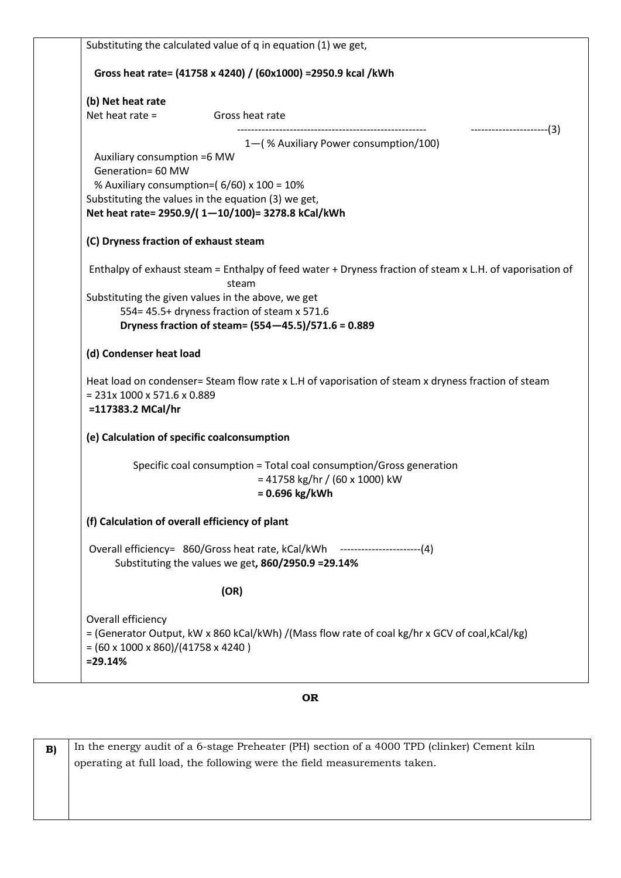| Substituting the calculated value of q in equation (1) we get,                                                    |
|-------------------------------------------------------------------------------------------------------------------|
| Gross heat rate= (41758 x 4240) / (60x1000) = 2950.9 kcal / kWh                                                   |
| (b) Net heat rate                                                                                                 |
| Net heat rate $=$<br>Gross heat rate<br>$----------(3)$                                                           |
| 1-(% Auxiliary Power consumption/100)                                                                             |
| Auxiliary consumption =6 MW                                                                                       |
| Generation= 60 MW<br>% Auxiliary consumption=(6/60) x 100 = 10%                                                   |
| Substituting the values in the equation (3) we get,                                                               |
| Net heat rate= 2950.9/(1-10/100)= 3278.8 kCal/kWh                                                                 |
| (C) Dryness fraction of exhaust steam                                                                             |
| Enthalpy of exhaust steam = Enthalpy of feed water + Dryness fraction of steam x L.H. of vaporisation of<br>steam |
| Substituting the given values in the above, we get                                                                |
| 554= 45.5+ dryness fraction of steam x 571.6                                                                      |
| Dryness fraction of steam= (554-45.5)/571.6 = 0.889                                                               |
| (d) Condenser heat load                                                                                           |
| Heat load on condenser= Steam flow rate x L.H of vaporisation of steam x dryness fraction of steam                |
| $= 231x 1000 x 571.6 x 0.889$                                                                                     |
| =117383.2 MCal/hr                                                                                                 |
| (e) Calculation of specific coalconsumption                                                                       |
| Specific coal consumption = Total coal consumption/Gross generation                                               |
| $= 41758$ kg/hr / (60 x 1000) kW                                                                                  |
| $= 0.696$ kg/kWh                                                                                                  |
| (f) Calculation of overall efficiency of plant                                                                    |
| Overall efficiency= 860/Gross heat rate, kCal/kWh ------------------------(4)                                     |
| Substituting the values we get, 860/2950.9 = 29.14%                                                               |
| (OR)                                                                                                              |
| Overall efficiency                                                                                                |
| = (Generator Output, kW x 860 kCal/kWh) /(Mass flow rate of coal kg/hr x GCV of coal, kCal/kg)                    |
| $= (60 \times 1000 \times 860) / (41758 \times 4240)$                                                             |
| $= 29.14%$                                                                                                        |

## **OR**

**B)** In the energy audit of a 6-stage Preheater (PH) section of a 4000 TPD (clinker) Cement kiln operating at full load, the following were the field measurements taken.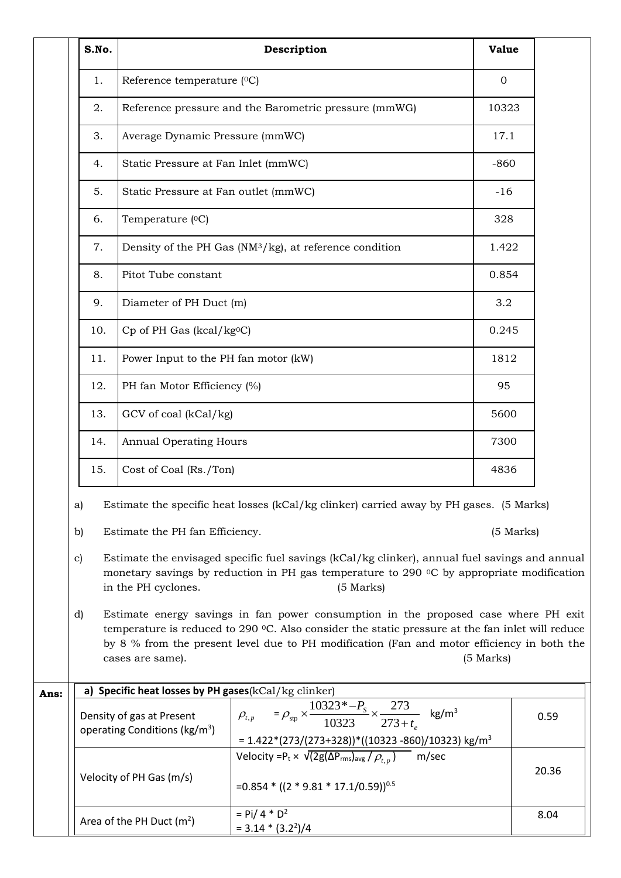|      | S.No.                                                                                                                                                                                                                                           |                                                                        | Description                                                                                                                                                                                                                                                                           | <b>Value</b> |       |  |
|------|-------------------------------------------------------------------------------------------------------------------------------------------------------------------------------------------------------------------------------------------------|------------------------------------------------------------------------|---------------------------------------------------------------------------------------------------------------------------------------------------------------------------------------------------------------------------------------------------------------------------------------|--------------|-------|--|
|      | 1.                                                                                                                                                                                                                                              | Reference temperature (°C)                                             |                                                                                                                                                                                                                                                                                       | $\mathbf{0}$ |       |  |
|      | 2.                                                                                                                                                                                                                                              |                                                                        | Reference pressure and the Barometric pressure (mmWG)                                                                                                                                                                                                                                 | 10323        |       |  |
|      | 3.                                                                                                                                                                                                                                              | Average Dynamic Pressure (mmWC)                                        |                                                                                                                                                                                                                                                                                       | 17.1         |       |  |
|      | 4.                                                                                                                                                                                                                                              | Static Pressure at Fan Inlet (mmWC)                                    |                                                                                                                                                                                                                                                                                       | $-860$       |       |  |
|      | 5.                                                                                                                                                                                                                                              | Static Pressure at Fan outlet (mmWC)                                   |                                                                                                                                                                                                                                                                                       | $-16$        |       |  |
|      | 6.                                                                                                                                                                                                                                              | Temperature (°C)                                                       |                                                                                                                                                                                                                                                                                       | 328          |       |  |
|      | 7.                                                                                                                                                                                                                                              |                                                                        | Density of the PH Gas (NM <sup>3</sup> /kg), at reference condition                                                                                                                                                                                                                   | 1.422        |       |  |
|      | 8.                                                                                                                                                                                                                                              | Pitot Tube constant                                                    |                                                                                                                                                                                                                                                                                       | 0.854        |       |  |
|      | 9.                                                                                                                                                                                                                                              | Diameter of PH Duct (m)                                                |                                                                                                                                                                                                                                                                                       | 3.2          |       |  |
|      | 10.                                                                                                                                                                                                                                             | Cp of PH Gas (kcal/kg <sup>o</sup> C)                                  |                                                                                                                                                                                                                                                                                       | 0.245        |       |  |
|      | 11.                                                                                                                                                                                                                                             | Power Input to the PH fan motor (kW)                                   |                                                                                                                                                                                                                                                                                       | 1812         |       |  |
|      | 12.                                                                                                                                                                                                                                             | PH fan Motor Efficiency (%)                                            |                                                                                                                                                                                                                                                                                       | 95           |       |  |
|      | 13.                                                                                                                                                                                                                                             | GCV of coal (kCal/kg)                                                  |                                                                                                                                                                                                                                                                                       | 5600         |       |  |
|      | 14.                                                                                                                                                                                                                                             | <b>Annual Operating Hours</b>                                          |                                                                                                                                                                                                                                                                                       | 7300         |       |  |
|      | 15.                                                                                                                                                                                                                                             | Cost of Coal (Rs./Ton)                                                 |                                                                                                                                                                                                                                                                                       | 4836         |       |  |
|      | Estimate the specific heat losses (kCal/kg clinker) carried away by PH gases. (5 Marks)<br>a)                                                                                                                                                   |                                                                        |                                                                                                                                                                                                                                                                                       |              |       |  |
|      | Estimate the PH fan Efficiency.<br>(5 Marks)<br>b)                                                                                                                                                                                              |                                                                        |                                                                                                                                                                                                                                                                                       |              |       |  |
|      | Estimate the envisaged specific fuel savings (kCal/kg clinker), annual fuel savings and annual<br>$\mathbf{c}$<br>monetary savings by reduction in PH gas temperature to 290 °C by appropriate modification<br>in the PH cyclones.<br>(5 Marks) |                                                                        |                                                                                                                                                                                                                                                                                       |              |       |  |
|      | d)                                                                                                                                                                                                                                              | cases are same).                                                       | Estimate energy savings in fan power consumption in the proposed case where PH exit<br>temperature is reduced to 290 °C. Also consider the static pressure at the fan inlet will reduce<br>by 8 % from the present level due to PH modification (Fan and motor efficiency in both the | (5 Marks)    |       |  |
| Ans: | a) Specific heat losses by PH gases(kCal/kg clinker)                                                                                                                                                                                            |                                                                        |                                                                                                                                                                                                                                                                                       |              |       |  |
|      |                                                                                                                                                                                                                                                 | Density of gas at Present<br>operating Conditions (kg/m <sup>3</sup> ) | $\rho_{t,p}$ = $\rho_{\rm sp} \times \frac{10323^* - P_s}{10323} \times \frac{273}{273 + t_e}$ kg/m <sup>3</sup><br>$= 1.422*(273/(273+328))*(10323-860)/10323)$ kg/m <sup>3</sup>                                                                                                    |              | 0.59  |  |
|      |                                                                                                                                                                                                                                                 | Velocity of PH Gas (m/s)                                               | Velocity = $P_t \times \sqrt{2g(\Delta P_{rms})_{avg} / \rho_{t,p}}$<br>m/sec<br>$=0.854 * ((2 * 9.81 * 17.1/0.59))^{0.5}$                                                                                                                                                            |              | 20.36 |  |
|      |                                                                                                                                                                                                                                                 | Area of the PH Duct $(m^2)$                                            | $=$ Pi/ 4 $*$ D <sup>2</sup><br>$= 3.14 * (3.2^{2})/4$                                                                                                                                                                                                                                |              | 8.04  |  |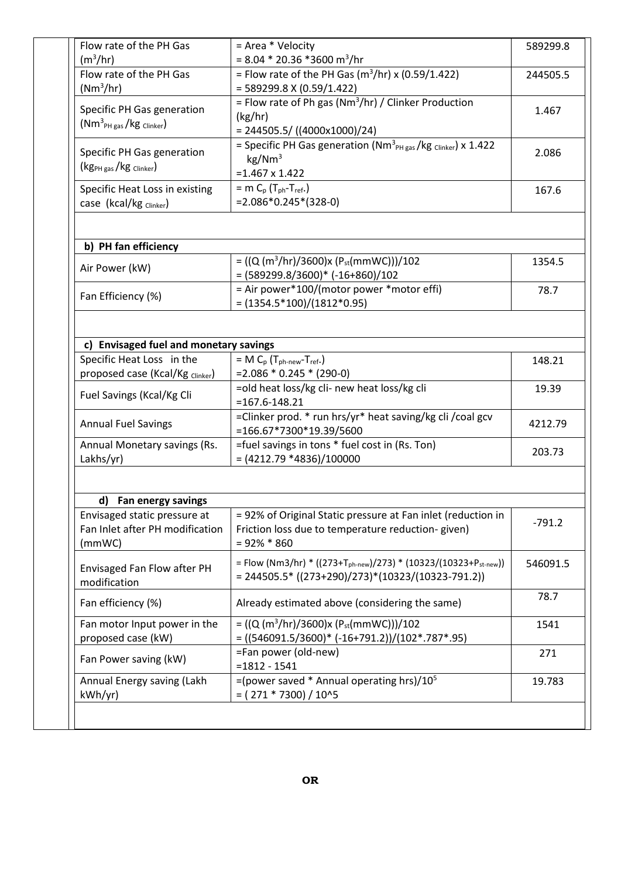| Flow rate of the PH Gas                   | = Area * Velocity                                                                         | 589299.8                                                         |
|-------------------------------------------|-------------------------------------------------------------------------------------------|------------------------------------------------------------------|
| (m <sup>3</sup> /hr)                      | $= 8.04 * 20.36 * 3600 m^{3}/hr$                                                          |                                                                  |
| Flow rate of the PH Gas                   | = Flow rate of the PH Gas ( $m^3/hr$ ) x (0.59/1.422)                                     | 244505.5                                                         |
| (Nm <sup>3</sup> /hr)                     | $= 589299.8 \times (0.59/1.422)$                                                          |                                                                  |
|                                           | = Flow rate of Ph gas (Nm <sup>3</sup> /hr) / Clinker Production                          |                                                                  |
| Specific PH Gas generation                | (kg/hr)                                                                                   | 1.467                                                            |
| $(Nm3PH gas/kg Clinker)$                  | $= 244505.5 / ((4000 \times 1000)/24)$                                                    |                                                                  |
|                                           | $=$ Specific PH Gas generation (Nm <sup>3</sup> <sub>PH gas</sub> /kg clinker) x 1.422    |                                                                  |
| Specific PH Gas generation                | $\text{kg}/\text{Nm}^3$                                                                   | 2.086                                                            |
| $(kg_{PH gas}/kg_{Clinker})$              | $=1.467 \times 1.422$                                                                     |                                                                  |
|                                           | $=$ m C <sub>p</sub> (T <sub>ph</sub> -T <sub>ref</sub> .)                                |                                                                  |
| Specific Heat Loss in existing            | $=2.086*0.245*(328-0)$                                                                    | 167.6                                                            |
| case (kcal/kg clinker)                    |                                                                                           |                                                                  |
|                                           |                                                                                           |                                                                  |
| b) PH fan efficiency                      |                                                                                           |                                                                  |
|                                           | = $((Q (m^3/hr)/3600)x (Pst(mmWC)))/102$                                                  | 1354.5                                                           |
| Air Power (kW)                            | $=(589299.8/3600)*(-16+860)/102$                                                          |                                                                  |
|                                           | = Air power*100/(motor power *motor effi)                                                 | 78.7                                                             |
| Fan Efficiency (%)                        | $=(1354.5*100)/(1812*0.95)$                                                               |                                                                  |
|                                           |                                                                                           |                                                                  |
| c) Envisaged fuel and monetary savings    |                                                                                           |                                                                  |
| Specific Heat Loss in the                 | $= M C_p (T_{ph-new}-T_{ref.})$                                                           | 148.21                                                           |
| proposed case (Kcal/Kg Clinker)           | $=2.086 * 0.245 * (290-0)$                                                                |                                                                  |
|                                           | =old heat loss/kg cli- new heat loss/kg cli                                               | 19.39                                                            |
| Fuel Savings (Kcal/Kg Cli                 | $= 167.6 - 148.21$                                                                        |                                                                  |
|                                           |                                                                                           |                                                                  |
|                                           |                                                                                           |                                                                  |
| <b>Annual Fuel Savings</b>                | =Clinker prod. * run hrs/yr* heat saving/kg cli / coal gcv                                |                                                                  |
|                                           | =166.67*7300*19.39/5600                                                                   |                                                                  |
|                                           | =fuel savings in tons * fuel cost in (Rs. Ton)                                            |                                                                  |
| Annual Monetary savings (Rs.<br>Lakhs/yr) | $=(4212.79 * 4836)/100000$                                                                |                                                                  |
|                                           |                                                                                           |                                                                  |
| d) Fan energy savings                     |                                                                                           |                                                                  |
| Envisaged static pressure at              | = 92% of Original Static pressure at Fan inlet (reduction in                              |                                                                  |
| Fan Inlet after PH modification           | Friction loss due to temperature reduction-given)                                         |                                                                  |
| (mmWC)                                    | $= 92\% * 860$                                                                            |                                                                  |
|                                           |                                                                                           |                                                                  |
| Envisaged Fan Flow after PH               | = Flow (Nm3/hr) * ((273+T <sub>ph-new</sub> )/273) * (10323/(10323+P <sub>st-new</sub> )) |                                                                  |
| modification                              | $= 244505.5* ((273+290)/273)*(10323/(10323-791.2))$                                       |                                                                  |
|                                           |                                                                                           |                                                                  |
| Fan efficiency (%)                        | Already estimated above (considering the same)                                            |                                                                  |
| Fan motor Input power in the              | = $((Q (m^3/hr)/3600)x (Pst(mmWC)))/102$                                                  |                                                                  |
| proposed case (kW)                        |                                                                                           |                                                                  |
|                                           | $= ((546091.5/3600)^* (-16+791.2))/(102*.787*.95)$                                        |                                                                  |
|                                           | =Fan power (old-new)                                                                      | 4212.79<br>203.73<br>$-791.2$<br>546091.5<br>78.7<br>1541<br>271 |
| Fan Power saving (kW)                     | $= 1812 - 1541$                                                                           |                                                                  |
| Annual Energy saving (Lakh<br>kWh/yr)     | =(power saved * Annual operating hrs)/ $10^5$<br>$= (271 * 7300) / 10^{5}$                | 19.783                                                           |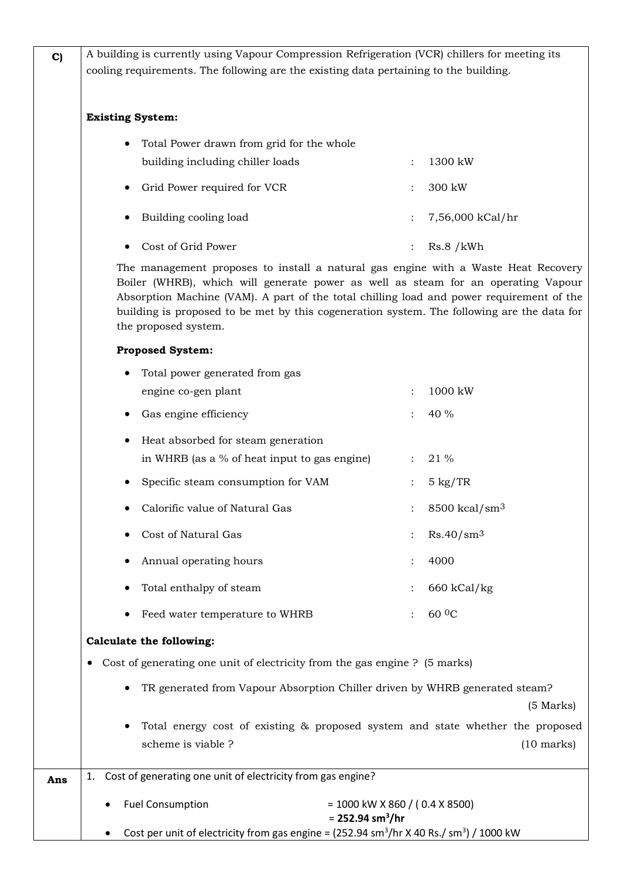| C   | A building is currently using Vapour Compression Refrigeration (VCR) chillers for meeting its                                                                                                                                                                                                                                                                                             |                      |                             |  |  |  |
|-----|-------------------------------------------------------------------------------------------------------------------------------------------------------------------------------------------------------------------------------------------------------------------------------------------------------------------------------------------------------------------------------------------|----------------------|-----------------------------|--|--|--|
|     | cooling requirements. The following are the existing data pertaining to the building.                                                                                                                                                                                                                                                                                                     |                      |                             |  |  |  |
|     |                                                                                                                                                                                                                                                                                                                                                                                           |                      |                             |  |  |  |
|     |                                                                                                                                                                                                                                                                                                                                                                                           |                      |                             |  |  |  |
|     | <b>Existing System:</b>                                                                                                                                                                                                                                                                                                                                                                   |                      |                             |  |  |  |
|     | Total Power drawn from grid for the whole                                                                                                                                                                                                                                                                                                                                                 |                      |                             |  |  |  |
|     | building including chiller loads                                                                                                                                                                                                                                                                                                                                                          | $\ddot{\phantom{a}}$ | 1300 kW                     |  |  |  |
|     | Grid Power required for VCR                                                                                                                                                                                                                                                                                                                                                               |                      | 300 kW                      |  |  |  |
|     | Building cooling load                                                                                                                                                                                                                                                                                                                                                                     |                      | 7,56,000 kCal/hr            |  |  |  |
|     | Cost of Grid Power                                                                                                                                                                                                                                                                                                                                                                        |                      | Rs.8/kWh                    |  |  |  |
|     | The management proposes to install a natural gas engine with a Waste Heat Recovery<br>Boiler (WHRB), which will generate power as well as steam for an operating Vapour<br>Absorption Machine (VAM). A part of the total chilling load and power requirement of the<br>building is proposed to be met by this cogeneration system. The following are the data for<br>the proposed system. |                      |                             |  |  |  |
|     | <b>Proposed System:</b>                                                                                                                                                                                                                                                                                                                                                                   |                      |                             |  |  |  |
|     | Total power generated from gas                                                                                                                                                                                                                                                                                                                                                            |                      |                             |  |  |  |
|     | engine co-gen plant                                                                                                                                                                                                                                                                                                                                                                       |                      | 1000 kW                     |  |  |  |
|     | Gas engine efficiency                                                                                                                                                                                                                                                                                                                                                                     |                      | 40 %                        |  |  |  |
|     | Heat absorbed for steam generation                                                                                                                                                                                                                                                                                                                                                        |                      |                             |  |  |  |
|     | in WHRB (as a % of heat input to gas engine)                                                                                                                                                                                                                                                                                                                                              |                      | 21 %                        |  |  |  |
|     | Specific steam consumption for VAM                                                                                                                                                                                                                                                                                                                                                        |                      | $5 \text{ kg}/\text{TR}$    |  |  |  |
|     | Calorific value of Natural Gas                                                                                                                                                                                                                                                                                                                                                            |                      | $8500$ kcal/sm <sup>3</sup> |  |  |  |
|     | Cost of Natural Gas                                                                                                                                                                                                                                                                                                                                                                       |                      | Rs.40/sm <sup>3</sup>       |  |  |  |
|     | Annual operating hours                                                                                                                                                                                                                                                                                                                                                                    |                      | 4000                        |  |  |  |
|     | Total enthalpy of steam                                                                                                                                                                                                                                                                                                                                                                   |                      | 660 kCal/kg                 |  |  |  |
|     | Feed water temperature to WHRB                                                                                                                                                                                                                                                                                                                                                            |                      | 60 <sup>0</sup> C           |  |  |  |
|     | Calculate the following:                                                                                                                                                                                                                                                                                                                                                                  |                      |                             |  |  |  |
|     | Cost of generating one unit of electricity from the gas engine ? (5 marks)                                                                                                                                                                                                                                                                                                                |                      |                             |  |  |  |
|     | TR generated from Vapour Absorption Chiller driven by WHRB generated steam?                                                                                                                                                                                                                                                                                                               |                      | (5 Marks)                   |  |  |  |
|     | Total energy cost of existing & proposed system and state whether the proposed<br>scheme is viable ?                                                                                                                                                                                                                                                                                      |                      | $(10 \text{ marks})$        |  |  |  |
| Ans | Cost of generating one unit of electricity from gas engine?<br>1.                                                                                                                                                                                                                                                                                                                         |                      |                             |  |  |  |
|     | <b>Fuel Consumption</b><br>$= 1000$ kW X 860 / (0.4 X 8500)<br>$= 252.94$ sm <sup>3</sup> /hr                                                                                                                                                                                                                                                                                             |                      |                             |  |  |  |
|     | Cost per unit of electricity from gas engine = $(252.94 \text{ sm}^3/\text{hr} \times 40 \text{ Rs.} / \text{ sm}^3)/1000 \text{ kW}$                                                                                                                                                                                                                                                     |                      |                             |  |  |  |

 $\overline{\phantom{a}}$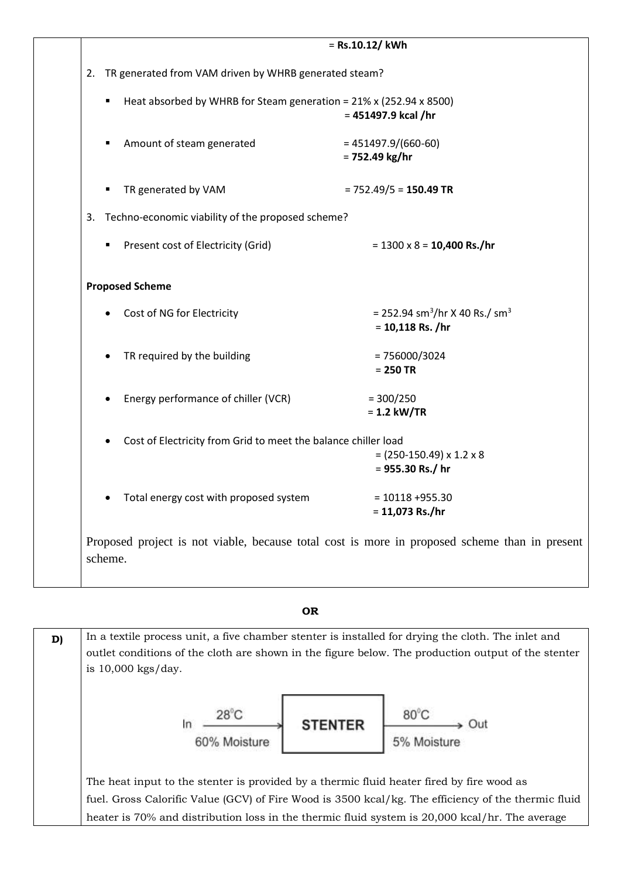| = Rs.10.12/ kWh |                                                                         |                                                                              |  |
|-----------------|-------------------------------------------------------------------------|------------------------------------------------------------------------------|--|
| 2.              | TR generated from VAM driven by WHRB generated steam?                   |                                                                              |  |
|                 | Heat absorbed by WHRB for Steam generation = 21% x (252.94 x 8500)<br>٠ | $= 451497.9$ kcal /hr                                                        |  |
|                 | Amount of steam generated                                               | $= 451497.9/(660-60)$<br>$= 752.49$ kg/hr                                    |  |
|                 | TR generated by VAM                                                     | $= 752.49/5 = 150.49$ TR                                                     |  |
| 3.              | Techno-economic viability of the proposed scheme?                       |                                                                              |  |
|                 | Present cost of Electricity (Grid)                                      | $= 1300 \times 8 = 10,400$ Rs./hr                                            |  |
|                 | <b>Proposed Scheme</b>                                                  |                                                                              |  |
|                 | Cost of NG for Electricity                                              | = 252.94 sm <sup>3</sup> /hr X 40 Rs./ sm <sup>3</sup><br>$= 10,118$ Rs. /hr |  |
|                 | TR required by the building                                             | $= 756000/3024$<br>$= 250$ TR                                                |  |
|                 | Energy performance of chiller (VCR)                                     | $= 300/250$<br>$= 1.2$ kW/TR                                                 |  |
|                 | Cost of Electricity from Grid to meet the balance chiller load          | $= (250-150.49) \times 1.2 \times 8$<br>$= 955.30$ Rs./ hr                   |  |
|                 | Total energy cost with proposed system                                  | $= 10118 + 955.30$                                                           |  |

#### **OR**

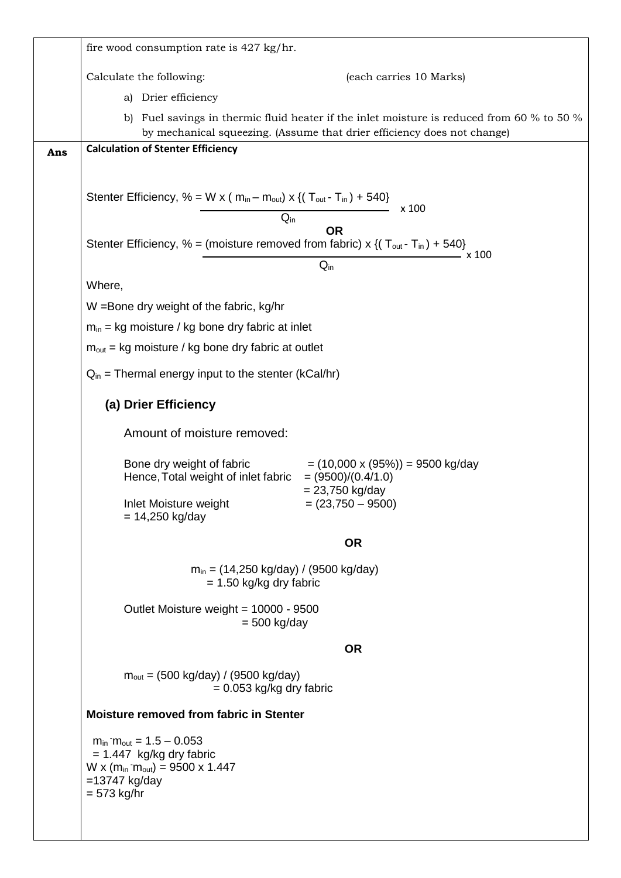|     | fire wood consumption rate is 427 kg/hr.                                                                                                                      |  |  |
|-----|---------------------------------------------------------------------------------------------------------------------------------------------------------------|--|--|
|     | Calculate the following:<br>(each carries 10 Marks)                                                                                                           |  |  |
|     | Drier efficiency<br>a)                                                                                                                                        |  |  |
|     | Fuel savings in thermic fluid heater if the inlet moisture is reduced from 60 % to 50 %<br>b)                                                                 |  |  |
|     | by mechanical squeezing. (Assume that drier efficiency does not change)<br><b>Calculation of Stenter Efficiency</b>                                           |  |  |
| Ans |                                                                                                                                                               |  |  |
|     |                                                                                                                                                               |  |  |
|     | Stenter Efficiency, % = W x ( $m_{in} - m_{out}$ ) x {( $T_{out} - T_{in}$ ) + 540}<br>x 100                                                                  |  |  |
|     | $Q_{in}$<br><b>OR</b>                                                                                                                                         |  |  |
|     | Stenter Efficiency, % = (moisture removed from fabric) x {( $T_{out}$ - $T_{in}$ ) + 540}<br>. x 100                                                          |  |  |
|     | $Q_{in}$                                                                                                                                                      |  |  |
|     | Where,                                                                                                                                                        |  |  |
|     | W = Bone dry weight of the fabric, kg/hr                                                                                                                      |  |  |
|     | $m_{in}$ = kg moisture / kg bone dry fabric at inlet                                                                                                          |  |  |
|     | $m_{\text{out}}$ = kg moisture / kg bone dry fabric at outlet                                                                                                 |  |  |
|     | $Q_{in}$ = Thermal energy input to the stenter (kCal/hr)                                                                                                      |  |  |
|     | (a) Drier Efficiency                                                                                                                                          |  |  |
|     | Amount of moisture removed:                                                                                                                                   |  |  |
|     | Bone dry weight of fabric<br>$= (10,000 \times (95\%)) = 9500$ kg/day<br>Hence, Total weight of inlet fabric $= (9500)/(0.4/1.0)$<br>$= 23,750$ kg/day        |  |  |
|     | Inlet Moisture weight<br>$=(23,750 - 9500)$<br>$= 14,250$ kg/day                                                                                              |  |  |
|     | <b>OR</b>                                                                                                                                                     |  |  |
|     | $m_{in}$ = (14,250 kg/day) / (9500 kg/day)<br>$= 1.50$ kg/kg dry fabric                                                                                       |  |  |
|     | Outlet Moisture weight = 10000 - 9500<br>$= 500$ kg/day                                                                                                       |  |  |
|     | <b>OR</b>                                                                                                                                                     |  |  |
|     | $m_{\text{out}} = (500 \text{ kg/day}) / (9500 \text{ kg/day})$<br>$= 0.053$ kg/kg dry fabric                                                                 |  |  |
|     | <b>Moisture removed from fabric in Stenter</b>                                                                                                                |  |  |
|     | $m_{in}$ m <sub>out</sub> = 1.5 – 0.053<br>$= 1.447$ kg/kg dry fabric<br>W x ( $m_{in}$ m <sub>out</sub> ) = 9500 x 1.447<br>$=13747$ kg/day<br>$= 573$ kg/hr |  |  |
|     |                                                                                                                                                               |  |  |